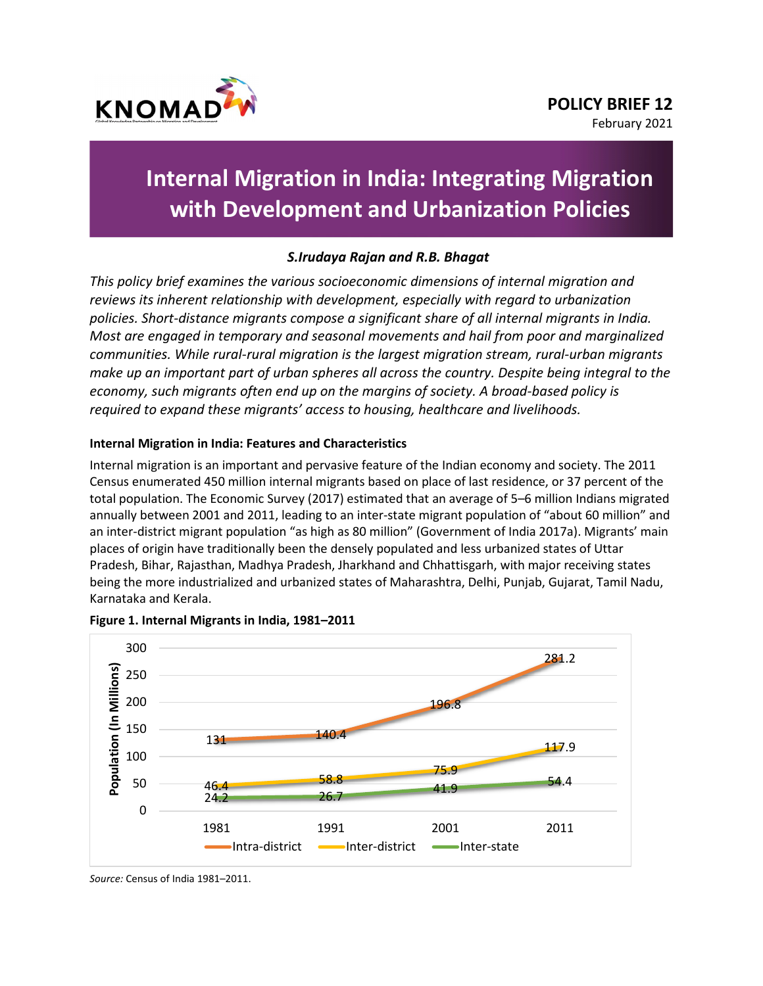

# **Internal Migration in India: Integrating Migration with Development and Urbanization Policies**

# *S.Irudaya Rajan and R.B. Bhagat*

*This policy brief examines the various socioeconomic dimensions of internal migration and reviews its inherent relationship with development, especially with regard to urbanization policies. Short-distance migrants compose a significant share of all internal migrants in India. Most are engaged in temporary and seasonal movements and hail from poor and marginalized communities. While rural-rural migration is the largest migration stream, rural-urban migrants make up an important part of urban spheres all across the country. Despite being integral to the economy, such migrants often end up on the margins of society. A broad-based policy is required to expand these migrants' access to housing, healthcare and livelihoods.*

## **Internal Migration in India: Features and Characteristics**

Internal migration is an important and pervasive feature of the Indian economy and society. The 2011 Census enumerated 450 million internal migrants based on place of last residence, or 37 percent of the total population. The Economic Survey (2017) estimated that an average of 5–6 million Indians migrated annually between 2001 and 2011, leading to an inter-state migrant population of "about 60 million" and an inter-district migrant population "as high as 80 million" (Government of India 2017a). Migrants' main places of origin have traditionally been the densely populated and less urbanized states of Uttar Pradesh, Bihar, Rajasthan, Madhya Pradesh, Jharkhand and Chhattisgarh, with major receiving states being the more industrialized and urbanized states of Maharashtra, Delhi, Punjab, Gujarat, Tamil Nadu, Karnataka and Kerala.



#### **Figure 1. Internal Migrants in India, 1981–2011**

*Source:* Census of India 1981–2011.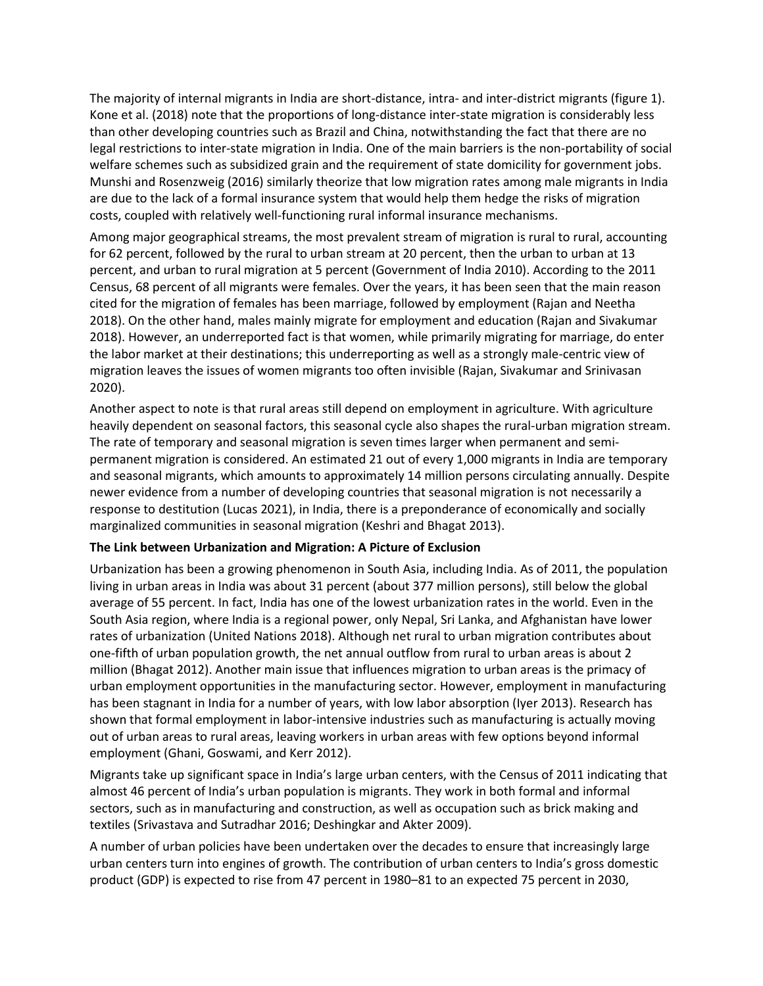The majority of internal migrants in India are short-distance, intra- and inter-district migrants (figure 1). Kone et al. (2018) note that the proportions of long-distance inter-state migration is considerably less than other developing countries such as Brazil and China, notwithstanding the fact that there are no legal restrictions to inter-state migration in India. One of the main barriers is the non-portability of social welfare schemes such as subsidized grain and the requirement of state domicility for government jobs. Munshi and Rosenzweig (2016) similarly theorize that low migration rates among male migrants in India are due to the lack of a formal insurance system that would help them hedge the risks of migration costs, coupled with relatively well-functioning rural informal insurance mechanisms.

Among major geographical streams, the most prevalent stream of migration is rural to rural, accounting for 62 percent, followed by the rural to urban stream at 20 percent, then the urban to urban at 13 percent, and urban to rural migration at 5 percent (Government of India 2010). According to the 2011 Census, 68 percent of all migrants were females. Over the years, it has been seen that the main reason cited for the migration of females has been marriage, followed by employment (Rajan and Neetha 2018). On the other hand, males mainly migrate for employment and education (Rajan and Sivakumar 2018). However, an underreported fact is that women, while primarily migrating for marriage, do enter the labor market at their destinations; this underreporting as well as a strongly male-centric view of migration leaves the issues of women migrants too often invisible (Rajan, Sivakumar and Srinivasan 2020).

Another aspect to note is that rural areas still depend on employment in agriculture. With agriculture heavily dependent on seasonal factors, this seasonal cycle also shapes the rural-urban migration stream. The rate of temporary and seasonal migration is seven times larger when permanent and semipermanent migration is considered. An estimated 21 out of every 1,000 migrants in India are temporary and seasonal migrants, which amounts to approximately 14 million persons circulating annually. Despite newer evidence from a number of developing countries that seasonal migration is not necessarily a response to destitution (Lucas 2021), in India, there is a preponderance of economically and socially marginalized communities in seasonal migration (Keshri and Bhagat 2013).

#### **The Link between Urbanization and Migration: A Picture of Exclusion**

Urbanization has been a growing phenomenon in South Asia, including India. As of 2011, the population living in urban areas in India was about 31 percent (about 377 million persons), still below the global average of 55 percent. In fact, India has one of the lowest urbanization rates in the world. Even in the South Asia region, where India is a regional power, only Nepal, Sri Lanka, and Afghanistan have lower rates of urbanization (United Nations 2018). Although net rural to urban migration contributes about one-fifth of urban population growth, the net annual outflow from rural to urban areas is about 2 million (Bhagat 2012). Another main issue that influences migration to urban areas is the primacy of urban employment opportunities in the manufacturing sector. However, employment in manufacturing has been stagnant in India for a number of years, with low labor absorption (Iyer 2013). Research has shown that formal employment in labor-intensive industries such as manufacturing is actually moving out of urban areas to rural areas, leaving workers in urban areas with few options beyond informal employment (Ghani, Goswami, and Kerr 2012).

Migrants take up significant space in India's large urban centers, with the Census of 2011 indicating that almost 46 percent of India's urban population is migrants. They work in both formal and informal sectors, such as in manufacturing and construction, as well as occupation such as brick making and textiles (Srivastava and Sutradhar 2016; Deshingkar and Akter 2009).

A number of urban policies have been undertaken over the decades to ensure that increasingly large urban centers turn into engines of growth. The contribution of urban centers to India's gross domestic product (GDP) is expected to rise from 47 percent in 1980–81 to an expected 75 percent in 2030,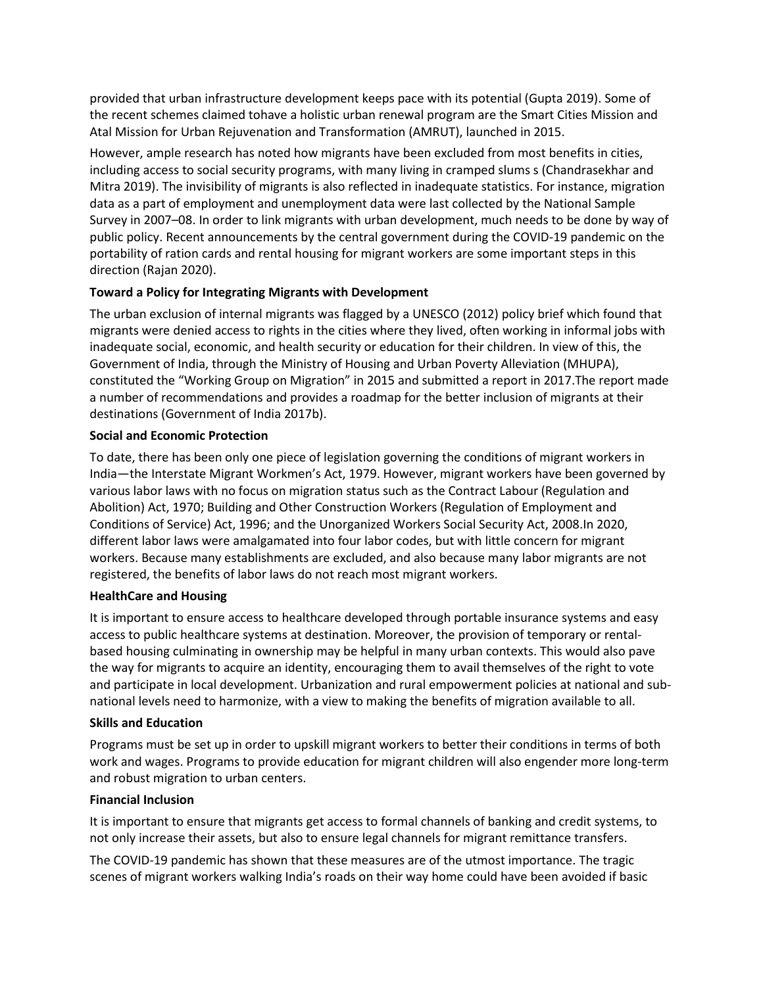provided that urban infrastructure development keeps pace with its potential (Gupta 2019). Some of the recent schemes claimed tohave a holistic urban renewal program are the Smart Cities Mission and Atal Mission for Urban Rejuvenation and Transformation (AMRUT), launched in 2015.

However, ample research has noted how migrants have been excluded from most benefits in cities, including access to social security programs, with many living in cramped slums s (Chandrasekhar and Mitra 2019). The invisibility of migrants is also reflected in inadequate statistics. For instance, migration data as a part of employment and unemployment data were last collected by the National Sample Survey in 2007–08. In order to link migrants with urban development, much needs to be done by way of public policy. Recent announcements by the central government during the COVID-19 pandemic on the portability of ration cards and rental housing for migrant workers are some important steps in this direction (Rajan 2020).

## **Toward a Policy for Integrating Migrants with Development**

The urban exclusion of internal migrants was flagged by a UNESCO (2012) policy brief which found that migrants were denied access to rights in the cities where they lived, often working in informal jobs with inadequate social, economic, and health security or education for their children. In view of this, the Government of India, through the Ministry of Housing and Urban Poverty Alleviation (MHUPA), constituted the "Working Group on Migration" in 2015 and submitted a report in 2017.The report made a number of recommendations and provides a roadmap for the better inclusion of migrants at their destinations (Government of India 2017b).

#### **Social and Economic Protection**

To date, there has been only one piece of legislation governing the conditions of migrant workers in India—the Interstate Migrant Workmen's Act, 1979. However, migrant workers have been governed by various labor laws with no focus on migration status such as the Contract Labour (Regulation and Abolition) Act, 1970; Building and Other Construction Workers (Regulation of Employment and Conditions of Service) Act, 1996; and the Unorganized Workers Social Security Act, 2008.In 2020, different labor laws were amalgamated into four labor codes, but with little concern for migrant workers. Because many establishments are excluded, and also because many labor migrants are not registered, the benefits of labor laws do not reach most migrant workers.

#### **HealthCare and Housing**

It is important to ensure access to healthcare developed through portable insurance systems and easy access to public healthcare systems at destination. Moreover, the provision of temporary or rentalbased housing culminating in ownership may be helpful in many urban contexts. This would also pave the way for migrants to acquire an identity, encouraging them to avail themselves of the right to vote and participate in local development. Urbanization and rural empowerment policies at national and subnational levels need to harmonize, with a view to making the benefits of migration available to all.

#### **Skills and Education**

Programs must be set up in order to upskill migrant workers to better their conditions in terms of both work and wages. Programs to provide education for migrant children will also engender more long-term and robust migration to urban centers.

#### **Financial Inclusion**

It is important to ensure that migrants get access to formal channels of banking and credit systems, to not only increase their assets, but also to ensure legal channels for migrant remittance transfers.

The COVID-19 pandemic has shown that these measures are of the utmost importance. The tragic scenes of migrant workers walking India's roads on their way home could have been avoided if basic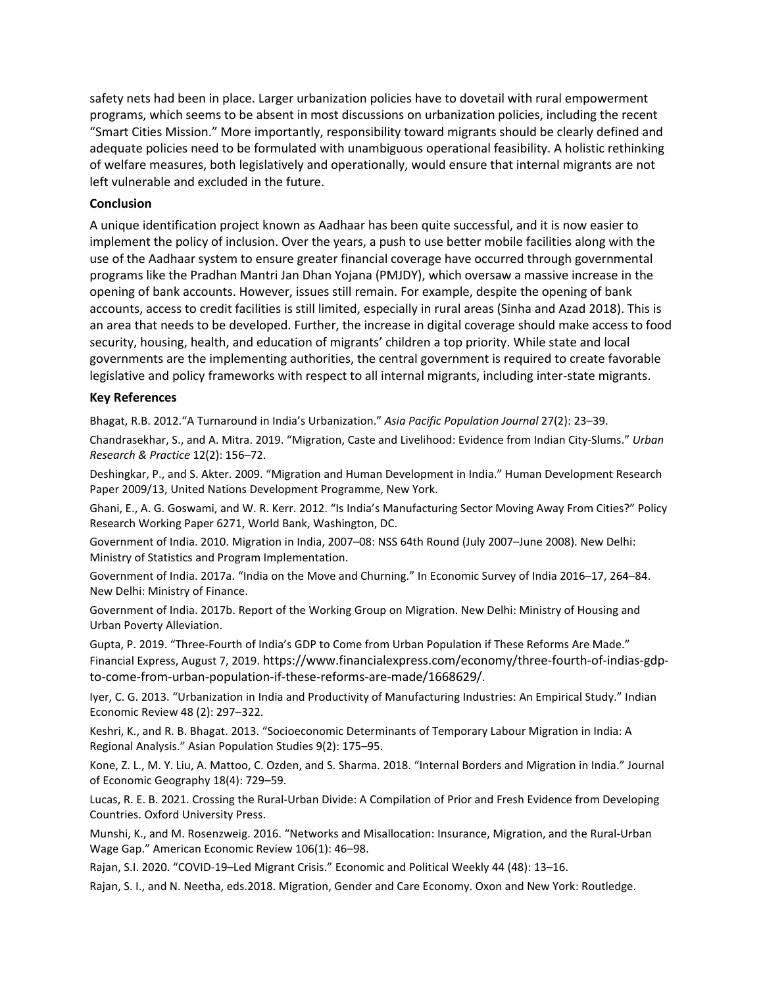safety nets had been in place. Larger urbanization policies have to dovetail with rural empowerment programs, which seems to be absent in most discussions on urbanization policies, including the recent "Smart Cities Mission." More importantly, responsibility toward migrants should be clearly defined and adequate policies need to be formulated with unambiguous operational feasibility. A holistic rethinking of welfare measures, both legislatively and operationally, would ensure that internal migrants are not left vulnerable and excluded in the future.

#### **Conclusion**

A unique identification project known as Aadhaar has been quite successful, and it is now easier to implement the policy of inclusion. Over the years, a push to use better mobile facilities along with the use of the Aadhaar system to ensure greater financial coverage have occurred through governmental programs like the Pradhan Mantri Jan Dhan Yojana (PMJDY), which oversaw a massive increase in the opening of bank accounts. However, issues still remain. For example, despite the opening of bank accounts, access to credit facilities is still limited, especially in rural areas (Sinha and Azad 2018). This is an area that needs to be developed. Further, the increase in digital coverage should make access to food security, housing, health, and education of migrants' children a top priority. While state and local governments are the implementing authorities, the central government is required to create favorable legislative and policy frameworks with respect to all internal migrants, including inter-state migrants.

#### **Key References**

Bhagat, R.B. 2012."A Turnaround in India's Urbanization." *Asia Pacific Population Journal* 27(2): 23–39.

Chandrasekhar, S., and A. Mitra. 2019. "Migration, Caste and Livelihood: Evidence from Indian City-Slums." *Urban Research & Practice* 12(2): 156–72.

Deshingkar, P., and S. Akter. 2009. "Migration and Human Development in India." Human Development Research Paper 2009/13, United Nations Development Programme, New York.

Ghani, E., A. G. Goswami, and W. R. Kerr. 2012. "Is India's Manufacturing Sector Moving Away From Cities?" Policy Research Working Paper 6271, World Bank, Washington, DC.

Government of India. 2010. Migration in India, 2007–08: NSS 64th Round (July 2007–June 2008). New Delhi: Ministry of Statistics and Program Implementation.

Government of India. 2017a. "India on the Move and Churning." In Economic Survey of India 2016–17, 264–84. New Delhi: Ministry of Finance.

Government of India. 2017b. Report of the Working Group on Migration. New Delhi: Ministry of Housing and Urban Poverty Alleviation.

Gupta, P. 2019. "Three-Fourth of India's GDP to Come from Urban Population if These Reforms Are Made." Financial Express, August 7, 2019. [https://www.financialexpress.com/economy/three-fourth-of-indias-gdp](https://www.financialexpress.com/economy/three-fourth-of-indias-gdp-to-come-from-urban-population-if-these-reforms-are-made/1668629/)[to-come-from-urban-population-if-these-reforms-are-made/1668629/.](https://www.financialexpress.com/economy/three-fourth-of-indias-gdp-to-come-from-urban-population-if-these-reforms-are-made/1668629/)

Iyer, C. G. 2013. "Urbanization in India and Productivity of Manufacturing Industries: An Empirical Study." Indian Economic Review 48 (2): 297–322.

Keshri, K., and R. B. Bhagat. 2013. "Socioeconomic Determinants of Temporary Labour Migration in India: A Regional Analysis." Asian Population Studies 9(2): 175–95.

Kone, Z. L., M. Y. Liu, A. Mattoo, C. Ozden, and S. Sharma. 2018. "Internal Borders and Migration in India." Journal of Economic Geography 18(4): 729–59.

Lucas, R. E. B. 2021. Crossing the Rural-Urban Divide: A Compilation of Prior and Fresh Evidence from Developing Countries. Oxford University Press.

Munshi, K., and M. Rosenzweig. 2016. "Networks and Misallocation: Insurance, Migration, and the Rural-Urban Wage Gap." American Economic Review 106(1): 46–98.

Rajan, S.I. 2020. "COVID-19–Led Migrant Crisis." Economic and Political Weekly 44 (48): 13–16.

Rajan, S. I., and N. Neetha, eds.2018. Migration, Gender and Care Economy. Oxon and New York: Routledge.